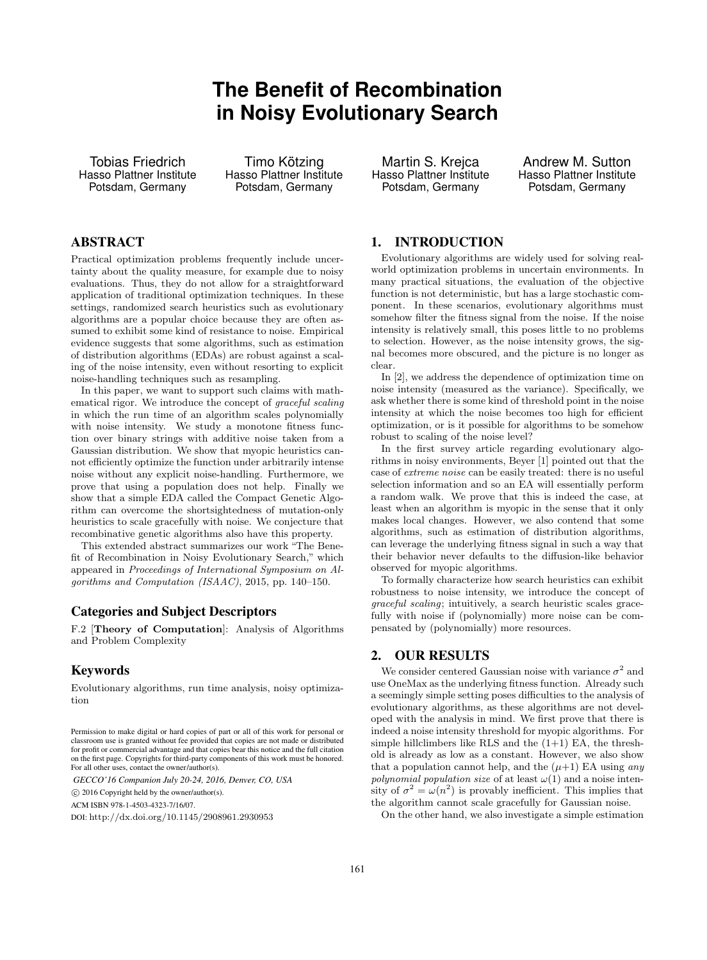# **The Benefit of Recombination in Noisy Evolutionary Search**

Tobias Friedrich Hasso Plattner Institute Potsdam, Germany

Timo Kötzing Hasso Plattner Institute Potsdam, Germany

Martin S. Krejca Hasso Plattner Institute Potsdam, Germany

Andrew M. Sutton Hasso Plattner Institute Potsdam, Germany

## ABSTRACT

Practical optimization problems frequently include uncertainty about the quality measure, for example due to noisy evaluations. Thus, they do not allow for a straightforward application of traditional optimization techniques. In these settings, randomized search heuristics such as evolutionary algorithms are a popular choice because they are often assumed to exhibit some kind of resistance to noise. Empirical evidence suggests that some algorithms, such as estimation of distribution algorithms (EDAs) are robust against a scaling of the noise intensity, even without resorting to explicit noise-handling techniques such as resampling.

In this paper, we want to support such claims with mathematical rigor. We introduce the concept of graceful scaling in which the run time of an algorithm scales polynomially with noise intensity. We study a monotone fitness function over binary strings with additive noise taken from a Gaussian distribution. We show that myopic heuristics cannot efficiently optimize the function under arbitrarily intense noise without any explicit noise-handling. Furthermore, we prove that using a population does not help. Finally we show that a simple EDA called the Compact Genetic Algorithm can overcome the shortsightedness of mutation-only heuristics to scale gracefully with noise. We conjecture that recombinative genetic algorithms also have this property.

This extended abstract summarizes our work "The Benefit of Recombination in Noisy Evolutionary Search," which appeared in Proceedings of International Symposium on Algorithms and Computation (ISAAC), 2015, pp. 140–150.

### Categories and Subject Descriptors

F.2 [Theory of Computation]: Analysis of Algorithms and Problem Complexity

### Keywords

Evolutionary algorithms, run time analysis, noisy optimization

*GECCO'16 Companion July 20-24, 2016, Denver, CO, USA*

c 2016 Copyright held by the owner/author(s).

ACM ISBN 978-1-4503-4323-7/16/07.

DOI: <http://dx.doi.org/10.1145/2908961.2930953>

1. INTRODUCTION

Evolutionary algorithms are widely used for solving realworld optimization problems in uncertain environments. In many practical situations, the evaluation of the objective function is not deterministic, but has a large stochastic component. In these scenarios, evolutionary algorithms must somehow filter the fitness signal from the noise. If the noise intensity is relatively small, this poses little to no problems to selection. However, as the noise intensity grows, the signal becomes more obscured, and the picture is no longer as clear.

In [\[2\]](#page-1-0), we address the dependence of optimization time on noise intensity (measured as the variance). Specifically, we ask whether there is some kind of threshold point in the noise intensity at which the noise becomes too high for efficient optimization, or is it possible for algorithms to be somehow robust to scaling of the noise level?

In the first survey article regarding evolutionary algorithms in noisy environments, Beyer [\[1\]](#page-1-1) pointed out that the case of extreme noise can be easily treated: there is no useful selection information and so an EA will essentially perform a random walk. We prove that this is indeed the case, at least when an algorithm is myopic in the sense that it only makes local changes. However, we also contend that some algorithms, such as estimation of distribution algorithms, can leverage the underlying fitness signal in such a way that their behavior never defaults to the diffusion-like behavior observed for myopic algorithms.

To formally characterize how search heuristics can exhibit robustness to noise intensity, we introduce the concept of graceful scaling; intuitively, a search heuristic scales gracefully with noise if (polynomially) more noise can be compensated by (polynomially) more resources.

#### 2. OUR RESULTS

We consider centered Gaussian noise with variance  $\sigma^2$  and use OneMax as the underlying fitness function. Already such a seemingly simple setting poses difficulties to the analysis of evolutionary algorithms, as these algorithms are not developed with the analysis in mind. We first prove that there is indeed a noise intensity threshold for myopic algorithms. For simple hillclimbers like RLS and the  $(1+1)$  EA, the threshold is already as low as a constant. However, we also show that a population cannot help, and the  $(\mu+1)$  EA using any polynomial population size of at least  $\omega(1)$  and a noise intensity of  $\sigma^2 = \omega(n^2)$  is provably inefficient. This implies that the algorithm cannot scale gracefully for Gaussian noise.

On the other hand, we also investigate a simple estimation

Permission to make digital or hard copies of part or all of this work for personal or classroom use is granted without fee provided that copies are not made or distributed for profit or commercial advantage and that copies bear this notice and the full citation on the first page. Copyrights for third-party components of this work must be honored. For all other uses, contact the owner/author(s).